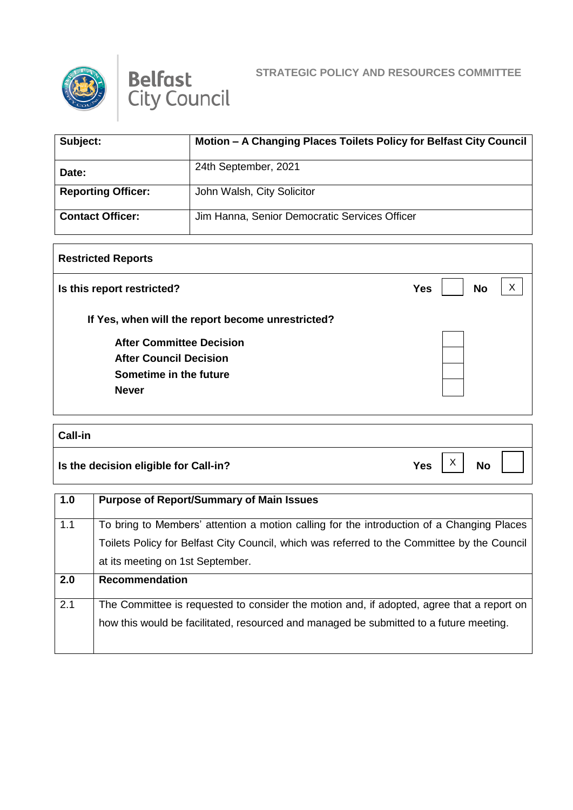



| Subject:                  | Motion - A Changing Places Toilets Policy for Belfast City Council |
|---------------------------|--------------------------------------------------------------------|
| Date:                     | 24th September, 2021                                               |
| <b>Reporting Officer:</b> | John Walsh, City Solicitor                                         |
| <b>Contact Officer:</b>   | Jim Hanna, Senior Democratic Services Officer                      |

## **Restricted Reports**

| Is this report restricted?                        | <b>No</b><br><b>Yes</b> |
|---------------------------------------------------|-------------------------|
| If Yes, when will the report become unrestricted? |                         |
| <b>After Committee Decision</b>                   |                         |
| <b>After Council Decision</b>                     |                         |
| Sometime in the future                            |                         |
| <b>Never</b>                                      |                         |

## **Call-in**

**Is the decision eligible for Call-in?**  $Yes \begin{bmatrix} X \\ Y \end{bmatrix}$  No

X

H

| 1.0 | <b>Purpose of Report/Summary of Main Issues</b>                                             |
|-----|---------------------------------------------------------------------------------------------|
| 1.1 | To bring to Members' attention a motion calling for the introduction of a Changing Places   |
|     | Toilets Policy for Belfast City Council, which was referred to the Committee by the Council |
|     | at its meeting on 1st September.                                                            |
| 2.0 | <b>Recommendation</b>                                                                       |
| 2.1 | The Committee is requested to consider the motion and, if adopted, agree that a report on   |
|     | how this would be facilitated, resourced and managed be submitted to a future meeting.      |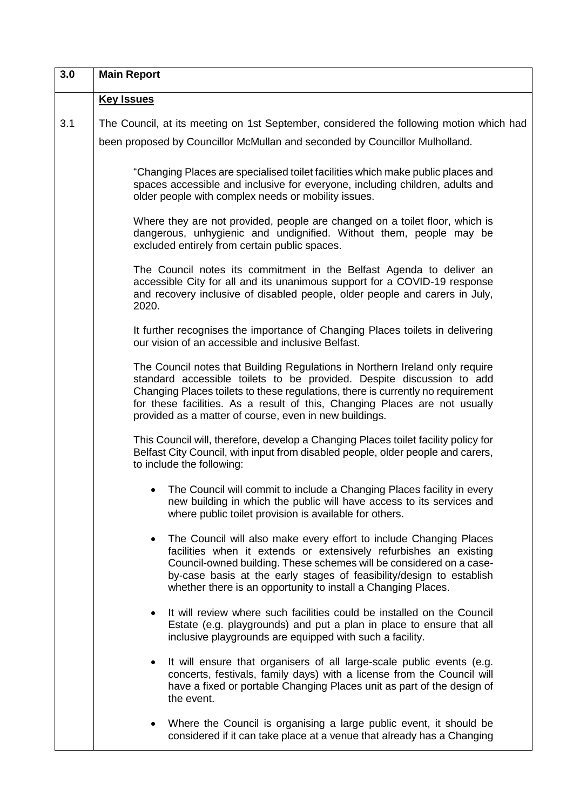| 3.0 | <b>Main Report</b>                                                                                                                                                                                                                                                                                                                                                               |
|-----|----------------------------------------------------------------------------------------------------------------------------------------------------------------------------------------------------------------------------------------------------------------------------------------------------------------------------------------------------------------------------------|
|     | <b>Key Issues</b>                                                                                                                                                                                                                                                                                                                                                                |
| 3.1 | The Council, at its meeting on 1st September, considered the following motion which had                                                                                                                                                                                                                                                                                          |
|     | been proposed by Councillor McMullan and seconded by Councillor Mulholland.                                                                                                                                                                                                                                                                                                      |
|     | "Changing Places are specialised toilet facilities which make public places and<br>spaces accessible and inclusive for everyone, including children, adults and<br>older people with complex needs or mobility issues.                                                                                                                                                           |
|     | Where they are not provided, people are changed on a toilet floor, which is<br>dangerous, unhygienic and undignified. Without them, people may be<br>excluded entirely from certain public spaces.                                                                                                                                                                               |
|     | The Council notes its commitment in the Belfast Agenda to deliver an<br>accessible City for all and its unanimous support for a COVID-19 response<br>and recovery inclusive of disabled people, older people and carers in July,<br>2020.                                                                                                                                        |
|     | It further recognises the importance of Changing Places toilets in delivering<br>our vision of an accessible and inclusive Belfast.                                                                                                                                                                                                                                              |
|     | The Council notes that Building Regulations in Northern Ireland only require<br>standard accessible toilets to be provided. Despite discussion to add<br>Changing Places toilets to these regulations, there is currently no requirement<br>for these facilities. As a result of this, Changing Places are not usually<br>provided as a matter of course, even in new buildings. |
|     | This Council will, therefore, develop a Changing Places toilet facility policy for<br>Belfast City Council, with input from disabled people, older people and carers,<br>to include the following:                                                                                                                                                                               |
|     | The Council will commit to include a Changing Places facility in every<br>new building in which the public will have access to its services and<br>where public toilet provision is available for others.                                                                                                                                                                        |
|     | The Council will also make every effort to include Changing Places<br>$\bullet$<br>facilities when it extends or extensively refurbishes an existing<br>Council-owned building. These schemes will be considered on a case-<br>by-case basis at the early stages of feasibility/design to establish<br>whether there is an opportunity to install a Changing Places.             |
|     | It will review where such facilities could be installed on the Council<br>$\bullet$<br>Estate (e.g. playgrounds) and put a plan in place to ensure that all<br>inclusive playgrounds are equipped with such a facility.                                                                                                                                                          |
|     | It will ensure that organisers of all large-scale public events (e.g.<br>$\bullet$<br>concerts, festivals, family days) with a license from the Council will<br>have a fixed or portable Changing Places unit as part of the design of<br>the event.                                                                                                                             |
|     | Where the Council is organising a large public event, it should be<br>$\bullet$<br>considered if it can take place at a venue that already has a Changing                                                                                                                                                                                                                        |